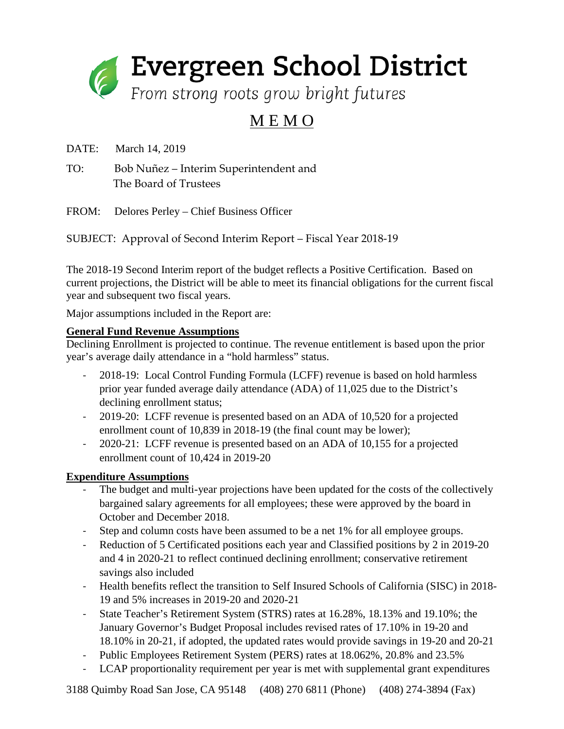

## M E M O

DATE: March 14, 2019

TO: Bob Nuñez – Interim Superintendent and The Board of Trustees

FROM: Delores Perley – Chief Business Officer

SUBJECT: Approval of Second Interim Report – Fiscal Year 2018-19

The 2018-19 Second Interim report of the budget reflects a Positive Certification. Based on current projections, the District will be able to meet its financial obligations for the current fiscal year and subsequent two fiscal years.

Major assumptions included in the Report are:

## **General Fund Revenue Assumptions**

Declining Enrollment is projected to continue. The revenue entitlement is based upon the prior year's average daily attendance in a "hold harmless" status.

- 2018-19: Local Control Funding Formula (LCFF) revenue is based on hold harmless prior year funded average daily attendance (ADA) of 11,025 due to the District's declining enrollment status;
- 2019-20: LCFF revenue is presented based on an ADA of 10,520 for a projected enrollment count of 10,839 in 2018-19 (the final count may be lower);
- 2020-21: LCFF revenue is presented based on an ADA of 10,155 for a projected enrollment count of 10,424 in 2019-20

## **Expenditure Assumptions**

- The budget and multi-year projections have been updated for the costs of the collectively bargained salary agreements for all employees; these were approved by the board in October and December 2018.
- Step and column costs have been assumed to be a net 1% for all employee groups.
- Reduction of 5 Certificated positions each year and Classified positions by 2 in 2019-20 and 4 in 2020-21 to reflect continued declining enrollment; conservative retirement savings also included
- Health benefits reflect the transition to Self Insured Schools of California (SISC) in 2018- 19 and 5% increases in 2019-20 and 2020-21
- State Teacher's Retirement System (STRS) rates at 16.28%, 18.13% and 19.10%; the January Governor's Budget Proposal includes revised rates of 17.10% in 19-20 and 18.10% in 20-21, if adopted, the updated rates would provide savings in 19-20 and 20-21
- Public Employees Retirement System (PERS) rates at 18.062%, 20.8% and 23.5%
- LCAP proportionality requirement per year is met with supplemental grant expenditures